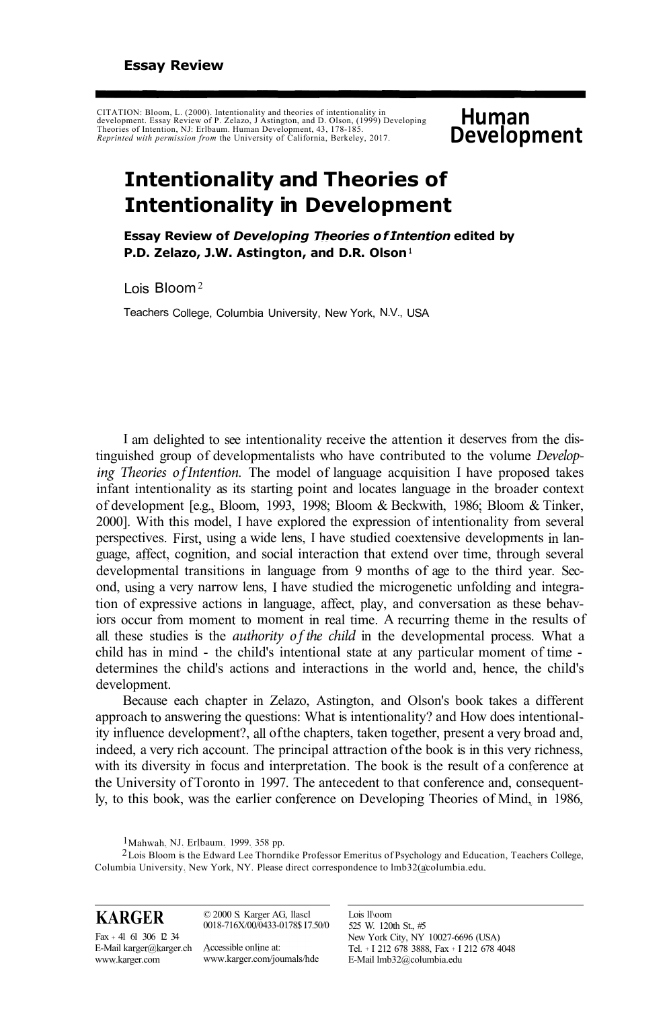CITATION: Bloom, L. (2000). Intentionality and theories of intentionality in<br>development. Essay Review of P. Zelazo, J Astington, and D. Olson, (1999) Developing<br>Theories of Intention, NJ: Erlbaum. Human Development, 43, 1

**Human Development** 

# **Intentionality and Theories of Intentionality in Development**

**Essay Review of** *Developing Theories of Intention* **edited by P.D. Zelazo, J.W. Astington, and D.R. Olson <sup>1</sup>**

Lois Bloom<sup>2</sup>

Teachers College, Columbia University, New York, N.V., USA

I am delighted to see intentionality receive the attention it deserves from the distinguished group of developmentalists who have contributed to the volume *Developing Theories of Intention.* The model of language acquisition I have proposed takes infant intentionality as its starting point and locates language in the broader context of development [e.g., Bloom, 1993, 1998; Bloom & Beckwith, 1986; Bloom & Tinker, 2000]. With this model, I have explored the expression of intentionality from several perspectives. First, using a wide lens, I have studied coextensive developments in language, affect, cognition, and social interaction that extend over time, through several developmental transitions in language from 9 months of age to the third year. Second, using a very narrow lens, I have studied the microgenetic unfolding and integration of expressive actions in language, affect, play, and conversation as these behaviors occur from moment to moment in real time. A recurring theme in the results of all these studies is the *authority of the child* in the developmental process. What a child has in mind - the child's intentional state at any particular moment of time determines the child's actions and interactions in the world and, hence, the child's development.

Because each chapter in Zelazo, Astington, and Olson's book takes a different approach to answering the questions: What is intentionality? and How does intentionality influence development?, all of the chapters, taken together, present a very broad and, indeed, a very rich account. The principal attraction of the book is in this very richness, with its diversity in focus and interpretation. The book is the result of a conference at the University of Toronto in 1997. The antecedent to that conference and, consequently, to this book, was the earlier conference on Developing Theories of Mind, in 1986,

1 Mahwah. NJ. Erlbaum. 1999. 358 pp.

<sup>2</sup> Lois Bloom is the Edward Lee Thorndike Professor Emeritus of Psychology and Education, Teachers College, Columbia University. New York, NY. Please direct correspondence to lmb32(acolumbia.edu.

**KARGER** 

© 2000 S. Karger AG, llascl 0018-716X/00/0433-0178\$ I 7.50/0

Fax <sup>+</sup>41 61 306 12 34 E-Mail karger@karger.ch Accessible online at: www.karger.com

www.karger.com/joumals/hde

Lois ll\oom 525 W. 120th St., #5 New York City, NY 10027-6696 (USA) Tel. <sup>+</sup>I 212 678 3888, Fax <sup>+</sup>I 212 678 4048 E-Mail lmb32@columbia.edu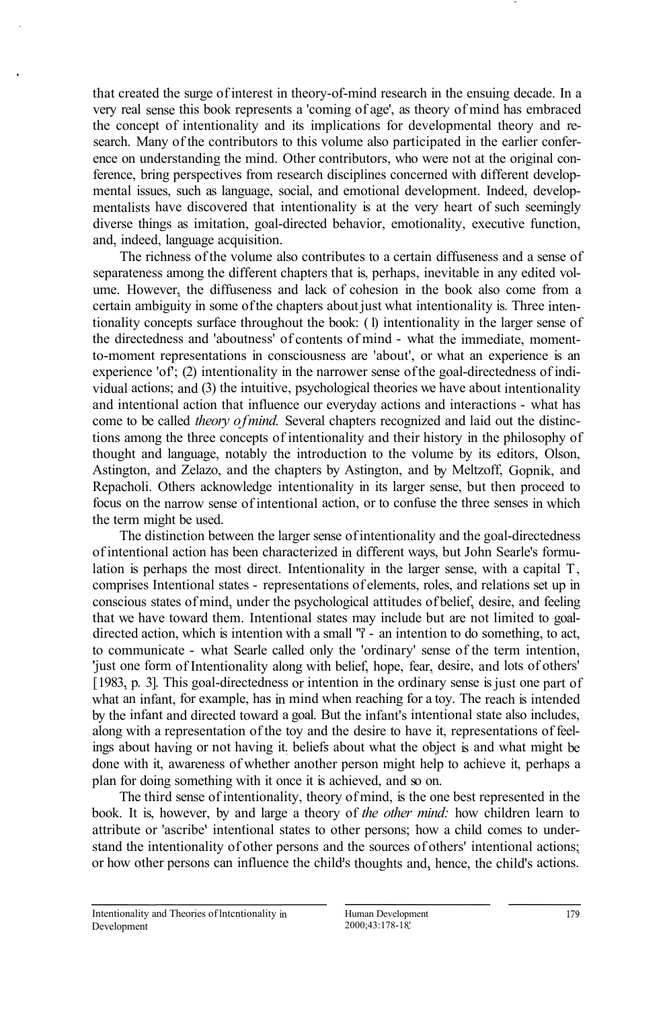that created the surge of interest in theory-of-mind research in the ensuing decade. In a very real sense this book represents a 'coming of age', as theory of mind has embraced the concept of intentionality and its implications for developmental theory and research. Many of the contributors to this volume also participated in the earlier conference on understanding the mind. Other contributors, who were not at the original conference, bring perspectives from research disciplines concerned with different developmental issues, such as language, social, and emotional development. Indeed, developmentalists have discovered that intentionality is at the very heart of such seemingly diverse things as imitation, goal-directed behavior, emotionality, executive function, and, indeed, language acquisition.

The richness of the volume also contributes to a certain diffuseness and a sense of separateness among the different chapters that is, perhaps, inevitable in any edited volume. However, the diffuseness and lack of cohesion in the book also come from a certain ambiguity in some of the chapters about just what intentionality is. Three intentionality concepts surface throughout the book: ( 1) intentionality in the larger sense of the directedness and 'aboutness' of contents of mind - what the immediate, momentto-moment representations in consciousness are 'about', or what an experience is an experience 'of'; (2) intentionality in the narrower sense of the goal-directedness of individual actions; and (3) the intuitive, psychological theories we have about intentionality and intentional action that influence our everyday actions and interactions - what has come to be called *theory of mind.* Several chapters recognized and laid out the distinctions among the three concepts of intentionality and their history in the philosophy of thought and language, notably the introduction to the volume by its editors, Olson, Astington, and Zelazo, and the chapters by Astington, and by Meltzoff, Gopnik, and Repacholi. Others acknowledge intentionality in its larger sense, but then proceed to focus on the narrow sense of intentional action, or to confuse the three senses in which the term might be used.

The distinction between the larger sense of intentionality and the goal-directedness of intentional action has been characterized in different ways, but John Searle's formulation is perhaps the most direct. Intentionality in the larger sense, with a capital T, comprises Intentional states - representations of elements, roles, and relations set up in conscious states of mind, under the psychological attitudes of belief, desire, and feeling that we have toward them. Intentional states may include but are not limited to goaldirected action, which is intention with a small "i' - an intention to do something, to act, to communicate - what Searle called only the 'ordinary' sense of the term intention, 'just one form of Intentionality along with belief, hope, fear, desire, and lots of others' [1983, p. 3]. This goal-directedness or intention in the ordinary sense is just one part of what an infant, for example, has in mind when reaching for a toy. The reach is intended by the infant and directed toward a goal. But the infant's intentional state also includes, along with a representation of the toy and the desire to have it, representations of feelings about having or not having it. beliefs about what the object is and what might be done with it, awareness of whether another person might help to achieve it, perhaps a plan for doing something with it once it is achieved, and so on.

The third sense of intentionality, theory of mind, is the one best represented in the book. It is, however, by and large a theory of *the other mind:* how children learn to attribute or 'ascribe' intentional states to other persons; how a child comes to understand the intentionality of other persons and the sources of others' intentional actions; or how other persons can influence the child's thoughts and, hence, the child's actions.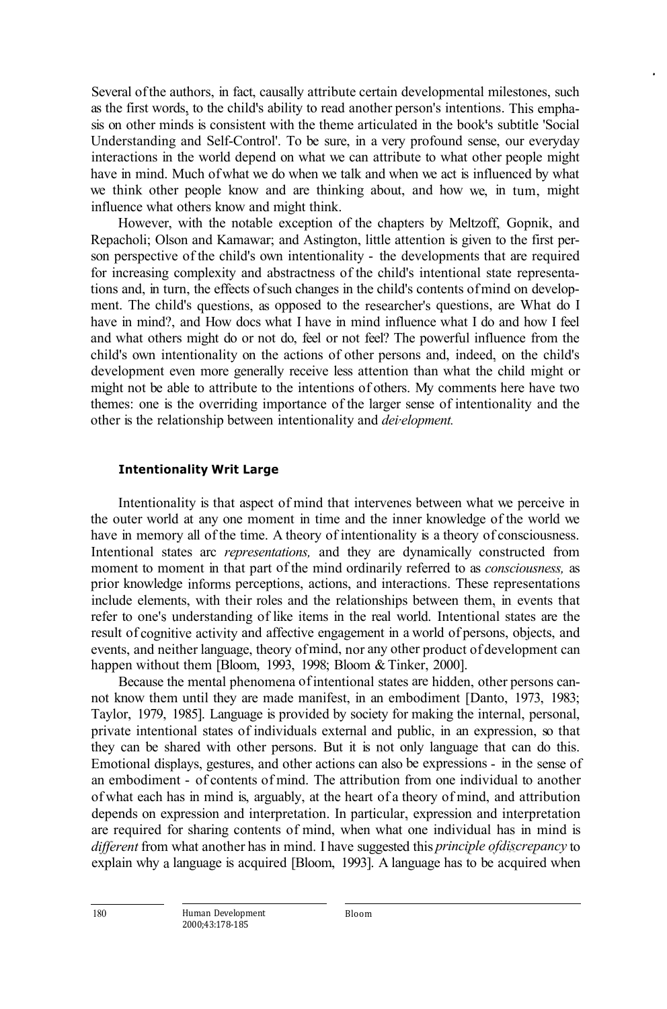Several of the authors, in fact, causally attribute certain developmental milestones, such as the first words, to the child's ability to read another person's intentions. This emphasis on other minds is consistent with the theme articulated in the book's subtitle 'Social Understanding and Self-Control'. To be sure, in a very profound sense, our everyday interactions in the world depend on what we can attribute to what other people might have in mind. Much of what we do when we talk and when we act is influenced by what we think other people know and are thinking about, and how we, in tum, might influence what others know and might think.

However, with the notable exception of the chapters by Meltzoff, Gopnik, and Repacholi; Olson and Kamawar; and Astington, little attention is given to the first person perspective of the child's own intentionality - the developments that are required for increasing complexity and abstractness of the child's intentional state representations and, in turn, the effects of such changes in the child's contents of mind on development. The child's questions, as opposed to the researcher's questions, are What do I have in mind?, and How docs what I have in mind influence what I do and how I feel and what others might do or not do, feel or not feel? The powerful influence from the child's own intentionality on the actions of other persons and, indeed, on the child's development even more generally receive less attention than what the child might or might not be able to attribute to the intentions of others. My comments here have two themes: one is the overriding importance of the larger sense of intentionality and the other is the relationship between intentionality and *dei·elopment.* 

## **Intentionality Writ Large**

Intentionality is that aspect of mind that intervenes between what we perceive in the outer world at any one moment in time and the inner knowledge of the world we have in memory all of the time. A theory of intentionality is a theory of consciousness. Intentional states arc *representations,* and they are dynamically constructed from moment to moment in that part of the mind ordinarily referred to as *consciousness,* as prior knowledge informs perceptions, actions, and interactions. These representations include elements, with their roles and the relationships between them, in events that refer to one's understanding of like items in the real world. Intentional states are the result of cognitive activity and affective engagement in a world of persons, objects, and events, and neither language, theory of mind, nor any other product of development can happen without them [Bloom, 1993, 1998; Bloom & Tinker, 2000].

Because the mental phenomena of intentional states are hidden, other persons cannot know them until they are made manifest, in an embodiment [Danto, 1973, 1983; Taylor, 1979, 1985]. Language is provided by society for making the internal, personal, private intentional states of individuals external and public, in an expression, so that they can be shared with other persons. But it is not only language that can do this. Emotional displays, gestures, and other actions can also be expressions - in the sense of an embodiment - of contents of mind. The attribution from one individual to another of what each has in mind is, arguably, at the heart of a theory of mind, and attribution depends on expression and interpretation. In particular, expression and interpretation are required for sharing contents of mind, when what one individual has in mind is *different* from what another has in mind. I have suggested this *principle ofdiscrepancy* to explain why a language is acquired [Bloom, 1993]. A language has to be acquired when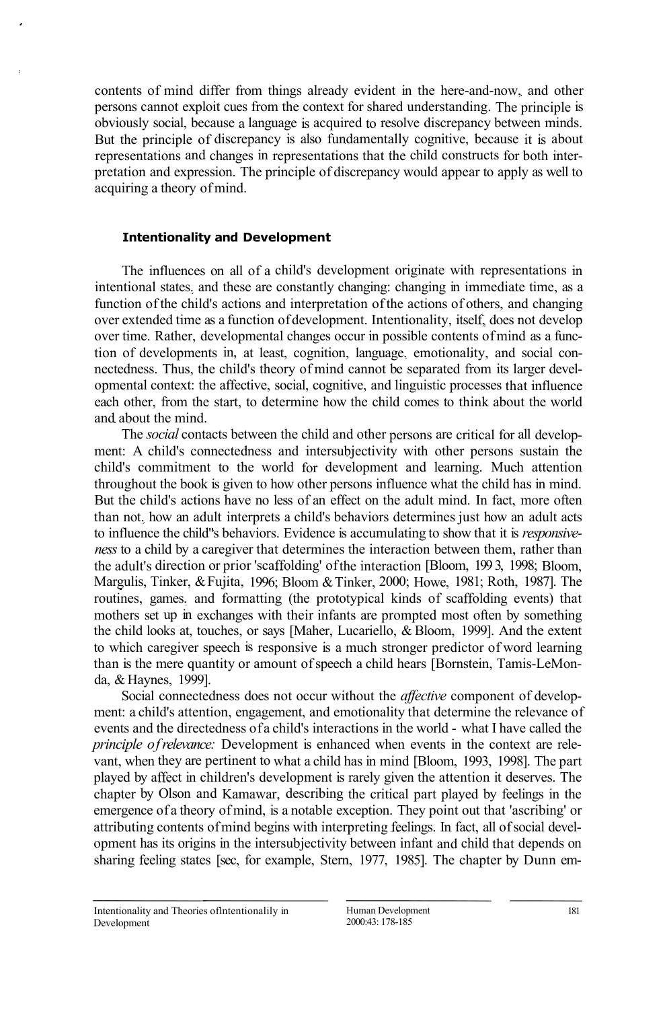contents of mind differ from things already evident in the here-and-now, and other persons cannot exploit cues from the context for shared understanding. The principle is obviously social, because a language is acquired to resolve discrepancy between minds. But the principle of discrepancy is also fundamentally cognitive, because it is about representations and changes in representations that the child constructs for both interpretation and expression. The principle of discrepancy would appear to apply as well to acquiring a theory of mind.

#### **Intentionality and Development**

The influences on all of a child's development originate with representations in intentional states. and these are constantly changing: changing in immediate time, as a function of the child's actions and interpretation of the actions of others, and changing over extended time as a function of development. Intentionality, itself, does not develop over time. Rather, developmental changes occur in possible contents of mind as a function of developments in, at least, cognition, language. emotionality, and social connectedness. Thus, the child's theory of mind cannot be separated from its larger developmental context: the affective, social, cognitive, and linguistic processes that influence each other, from the start, to determine how the child comes to think about the world and about the mind.

The *social* contacts between the child and other persons are critical for all development: A child's connectedness and intersubjectivity with other persons sustain the child's commitment to the world for development and learning. Much attention throughout the book is given to how other persons influence what the child has in mind. But the child's actions have no less of an effect on the adult mind. In fact, more often than not. how an adult interprets a child's behaviors determines just how an adult acts to influence the child"s behaviors. Evidence is accumulating to show that it is *responsiveness* to a child by a caregiver that determines the interaction between them, rather than the adult's direction or prior 'scaffolding' of the interaction [Bloom, 199 3, 1998; Bloom, Margulis, Tinker, & Fujita, 1996; Bloom & Tinker, 2000; Howe, 1981; Roth, 1987]. The routines, games. and formatting (the prototypical kinds of scaffolding events) that mothers set up in exchanges with their infants are prompted most often by something the child looks at, touches, or says [Maher, Lucariello, & Bloom, 1999]. And the extent to which caregiver speech is responsive is a much stronger predictor of word learning than is the mere quantity or amount of speech a child hears [Bornstein, Tamis-LeMonda, & Haynes, 1999].

Social connectedness does not occur without the *affective* component of development: a child's attention, engagement, and emotionality that determine the relevance of events and the directedness of a child's interactions in the world - what I have called the *principle of relevance:* Development is enhanced when events in the context are relevant, when they are pertinent to what a child has in mind [Bloom, 1993, 1998]. The part played by affect in children's development is rarely given the attention it deserves. The chapter by Olson and Kamawar, describing the critical part played by feelings in the emergence of a theory of mind, is a notable exception. They point out that 'ascribing' or attributing contents of mind begins with interpreting feelings. In fact, all of social development has its origins in the intersubjectivity between infant and child that depends on sharing feeling states [sec, for example, Stern, 1977, 1985]. The chapter by Dunn em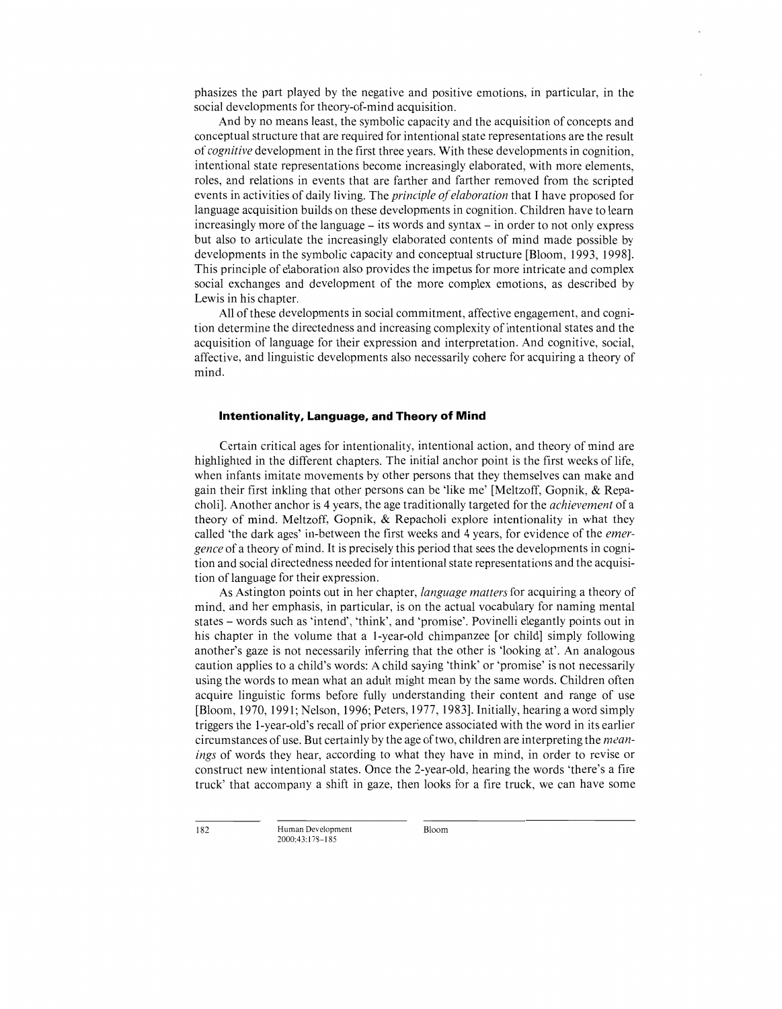phasizes the part played by the negative and positive emotions, in particular, in the social developments for theory-of-mind acquisition.

And by no means least, the symbolic capacity and the acquisition of concepts and conceptual structure that are required for intentional state representations are the result of *cognitive* development in the first three years. With these developments in cognition, intentional state representations become increasingly elaborated, with more elements, roles, and relations in events that are farther and farther removed from the scripted events in activities of daily living. The *principle of elaboration* that I have proposed for language acquisition builds on these developments in cognition. Children have to learn increasingly more of the language  $-$  its words and syntax  $-$  in order to not only express but also to articulate the increasingly elaborated contents of mind made possible by developments in the symbolic capacity and conceptual structure [Bloom, 1993, 1998]. This principle of elaboration also provides the impetus for more intricate and complex social exchanges and development of the more complex emotions, as described by Lewis in his chapter.

All of these developments in social commitment, affective engagement, and cognition determine the directedness and increasing complexity of intentional states and the acquisition of language for their expression and interpretation. And cognitive, social, affective, and linguistic developments also necessarily cohere for acquiring a theory of mind.

### Intentionality, Language, and Theory of Mind

Certain critical ages for intentionality, intentional action, and theory of mind are highlighted in the different chapters. The initial anchor point is the first weeks of life, when infants imitate movements by other persons that they themselves can make and gain their first inkling that other persons can be 'like me' [Meltzoff, Gopnik, & Repacholi]. Another anchor is 4 years, the age traditionally targeted for the *achievement* of a theory of mind. Meltzoff, Gopnik, & Repacholi explore intentionality in what they called 'the dark ages' in-between the first weeks and 4 years, for evidence of the *emergence* of a theory of mind. It is precisely this period that sees the developments in cognition and social directedness needed for intentional state representations and the acquisition of language for their expression.

As Astington points out in her chapter, language matters for acquiring a theory of mind, and her emphasis, in particular, is on the actual vocabulary for naming mental states - words such as 'intend', 'think', and 'promise'. Povinelli elegantly points out in his chapter in the volume that a 1-year-old chimpanzee [or child] simply following another's gaze is not necessarily inferring that the other is 'looking at'. An analogous caution applies to a child's words: A child saying 'think' or 'promise' is not necessarily using the words to mean what an adult might mean by the same words. Children often acquire linguistic forms before fully understanding their content and range of use [Bloom, 1970, 1991; Nelson, 1996; Peters, 1977, 1983]. Initially, hearing a word simply triggers the 1-year-old's recall of prior experience associated with the word in its earlier circumstances of use. But certainly by the age of two, children are interpreting the *meanings* of words they hear, according to what they have in mind, in order to revise or construct new intentional states. Once the 2-year-old, hearing the words 'there's a fire truck' that accompany a shift in gaze, then looks for a fire truck, we can have some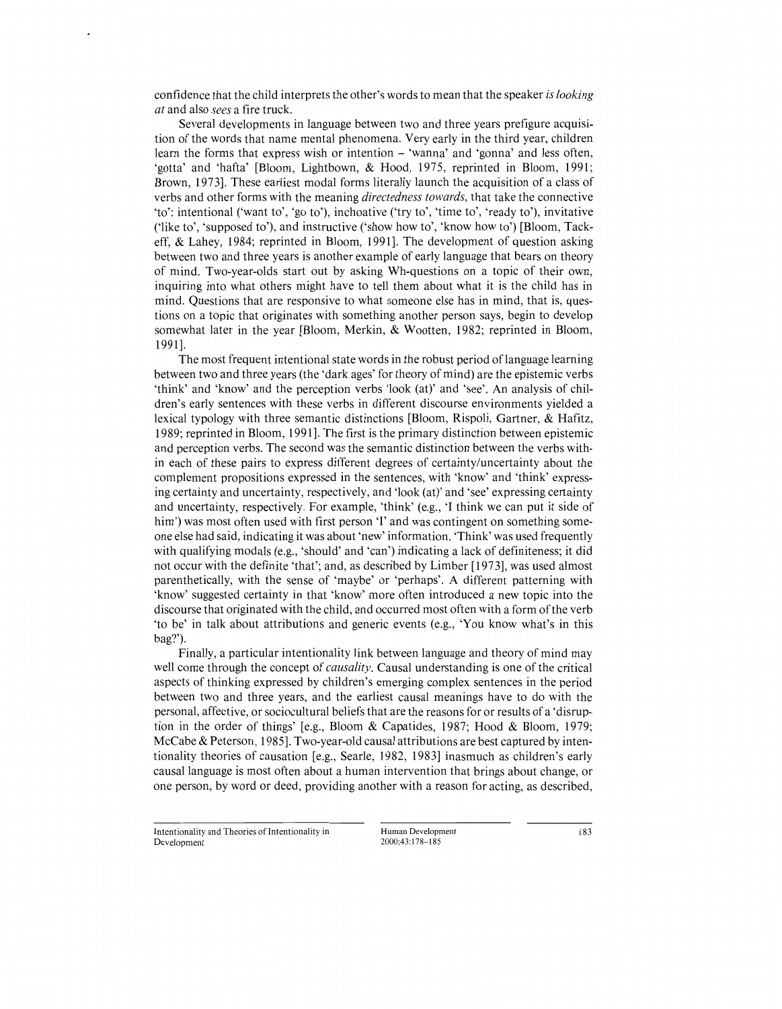confidence that the child interprets the other's words to mean that the speaker is looking *at* and also *sees* a fire truck.

Several developments in language between two and three years prefigure acquisition of the words that name mental phenomena. Very early in the third year, children learn the forms that express wish or intention – 'wanna' and 'gonna' and less often, 'gotta' and 'hafta' [Bloom, Lightbown, & Hood, 1975, reprinted in Bloom, 1991; Brown, 1973]. These earliest modal forms literally launch the acquisition of a class of verbs and other forms with the meaning *directedness towards*, that take the connective 'to': intentional ('want to', 'go to'), inchoative ('try to', 'time to', 'ready to'), invitative ('like to', 'supposed to'), and instructive ('show how to', 'know how to') [Bloom, Tackeff, & Lahey, 1984; reprinted in Bloom, 1991]. The development of question asking between two and three years is another example of early language that bears on theory of mind. Two-year-olds start out by asking Wh-questions on a topic of their own, inquiring into what others might have to tell them about what it is the child has in mind. Questions that are responsive to what someone else has in mind, that is, questions on a topic that originates with something another person says, begin to develop somewhat later in the year [Bloom, Merkin, & Wootten, 1982; reprinted in Bloom, 1991].

The most frequent intentional state words in the robust period of language learning between two and three years (the 'dark ages' for theory of mind) are the epistemic verbs 'think' and 'know' and the perception verbs 'look (at)' and 'see'. An analysis of children's early sentences with these verbs in different discourse environments yielded a lexical typology with three semantic distinctions [Bloom, Rispoli, Gartner, & Hafitz, 1989; reprinted in Bloom, 1991]. The first is the primary distinction between epistemic and perception verbs. The second was the semantic distinction between the verbs within each of these pairs to express different degrees of certainty/uncertainty about the complement propositions expressed in the sentences, with 'know' and 'think' expressing certainty and uncertainty, respectively, and 'look (at)' and 'see' expressing certainty and uncertainty, respectively. For example, 'think' (e.g., 'I think we can put it side of him') was most often used with first person 'I' and was contingent on something someone else had said, indicating it was about 'new' information. 'Think' was used frequently with qualifying modals (e.g., 'should' and 'can') indicating a lack of definiteness; it did not occur with the definite 'that'; and, as described by Limber [1973], was used almost parenthetically, with the sense of 'maybe' or 'perhaps'. A different patterning with 'know' suggested certainty in that 'know' more often introduced a new topic into the discourse that originated with the child, and occurred most often with a form of the verb 'to be' in talk about attributions and generic events (e.g., 'You know what's in this bag?').

Finally, a particular intentionality link between language and theory of mind may well come through the concept of *causality*. Causal understanding is one of the critical aspects of thinking expressed by children's emerging complex sentences in the period between two and three years, and the earliest causal meanings have to do with the personal, affective, or sociocultural beliefs that are the reasons for or results of a 'disruption in the order of things' [e.g., Bloom & Capatides, 1987; Hood & Bloom, 1979; McCabe & Peterson, 1985]. Two-year-old causal attributions are best captured by intentionality theories of causation [e.g., Searle, 1982, 1983] inasmuch as children's early causal language is most often about a human intervention that brings about change, or one person, by word or deed, providing another with a reason for acting, as described,

Human Development 2000;43:178-185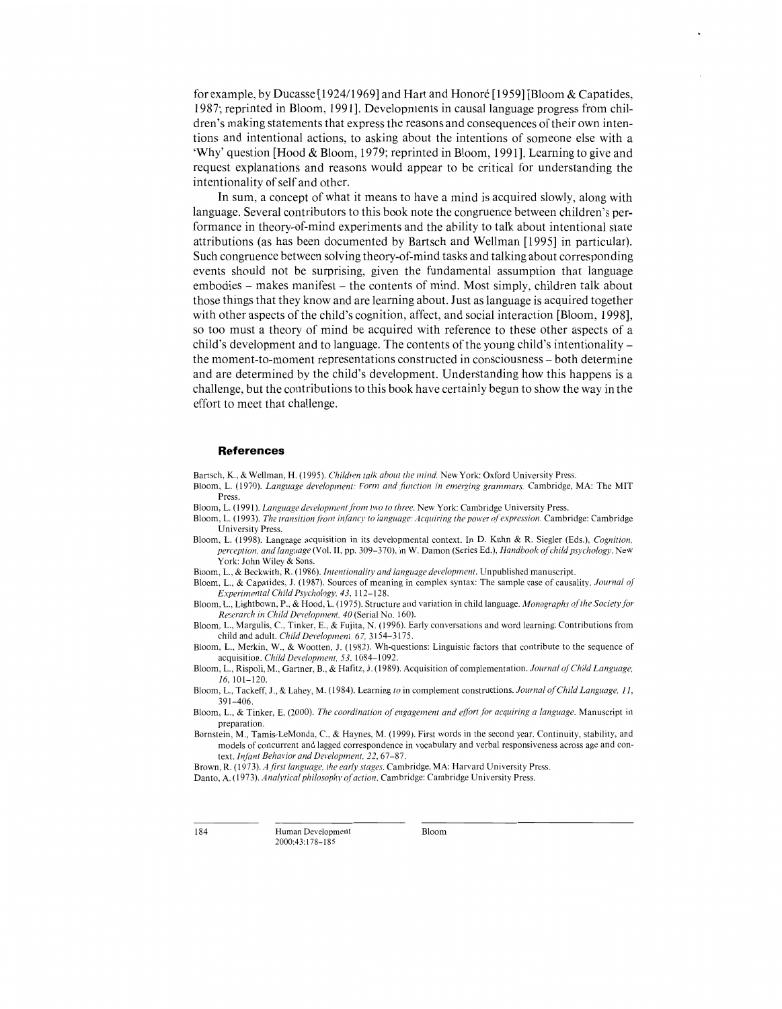for example, by Ducasse [1924/1969] and Hart and Honoré [1959] [Bloom & Capatides, 1987; reprinted in Bloom, 1991]. Developments in causal language progress from children's making statements that express the reasons and consequences of their own intentions and intentional actions, to asking about the intentions of someone else with a 'Why' question [Hood & Bloom, 1979; reprinted in Bloom, 1991]. Learning to give and request explanations and reasons would appear to be critical for understanding the intentionality of self and other.

In sum, a concept of what it means to have a mind is acquired slowly, along with language. Several contributors to this book note the congruence between children's performance in theory-of-mind experiments and the ability to talk about intentional state attributions (as has been documented by Bartsch and Wellman [1995] in particular). Such congruence between solving theory-of-mind tasks and talking about corresponding events should not be surprising, given the fundamental assumption that language embodies – makes manifest – the contents of mind. Most simply, children talk about those things that they know and are learning about. Just as language is acquired together with other aspects of the child's cognition, affect, and social interaction [Bloom, 1998], so too must a theory of mind be acquired with reference to these other aspects of a child's development and to language. The contents of the young child's intentionality – the moment-to-moment representations constructed in consciousness – both determine and are determined by the child's development. Understanding how this happens is a challenge, but the contributions to this book have certainly begun to show the way in the effort to meet that challenge.

#### **References**

Bartsch, K., & Wellman, H. (1995). Children talk about the mind. New York: Oxford University Press.

- Bloom, L. (1970). Language development: Form and function in emerging grammars. Cambridge, MA: The MIT Press.
- Bloom, L. (1991). Language development from two to three. New York: Cambridge University Press.
- Bloom, L. (1993). The transition from infancy to language: Acquiring the power of expression. Cambridge: Cambridge University Press.
- Bloom, L. (1998). Language acquisition in its developmental context. In D. Kuhn & R. Siegler (Eds.), Cognition, perception, and language (Vol. II, pp. 309-370), in W. Damon (Series Ed.), Handbook of child psychology. New York: John Wiley & Sons.
- Bloom, L., & Beckwith, R. (1986). Intentionality and language development. Unpublished manuscript.
- Bloom, L., & Capatides, J. (1987). Sources of meaning in complex syntax: The sample case of causality. Journal of Experimental Child Psychology, 43, 112-128.
- Bloom, L., Lightbown, P., & Hood, L. (1975). Structure and variation in child language. Monographs of the Society for Reserarch in Child Development, 40 (Serial No. 160).
- Bloom, L., Margulis, C., Tinker, E., & Fujita, N. (1996). Early conversations and word learning: Contributions from child and adult. Child Development, 67, 3154-3175.
- Bloom, L., Merkin, W., & Wootten, J. (1982). Wh-questions: Linguistic factors that contribute to the sequence of acquisition. Child Development, 53, 1084-1092.
- Bloom, L., Rispoli, M., Gartner, B., & Hafitz, J. (1989). Acquisition of complementation. Journal of Child Language,  $16.101 - 120.$
- Bloom, L., Tackeff, J., & Lahey, M. (1984). Learning to in complement constructions. Journal of Child Language, 11,  $391 - 406$ .
- Bloom, L., & Tinker, E. (2000). The coordination of engagement and effort for acquiring a language. Manuscript in preparation.
- Bornstein, M., Tamis-LeMonda, C., & Haynes, M. (1999). First words in the second year. Continuity, stability, and models of concurrent and lagged correspondence in vocabulary and verbal responsiveness across age and context. Infant Behavior and Development, 22, 67-87.
- Brown, R. (1973). A first language, the early stages. Cambridge, MA: Harvard University Press.
- Danto, A. (1973). Analytical philosophy of action. Cambridge: Cambridge University Press.